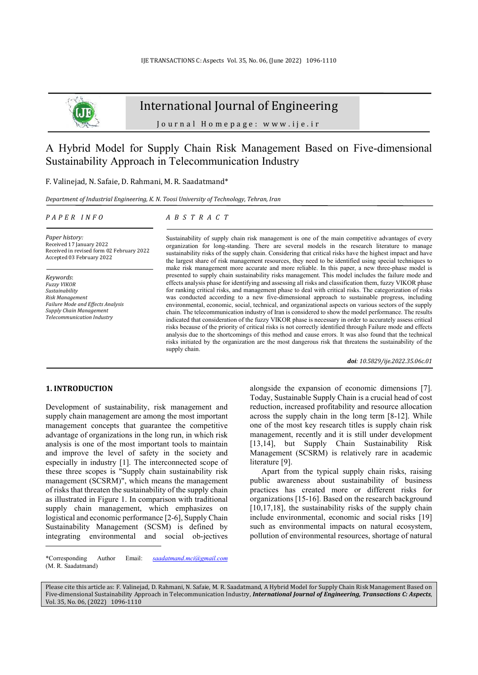

## International Journal of Engineering

Journal Homepage: www.ije.ir

# A Hybrid Model for Supply Chain Risk Management Based on Five-dimensional Sustainability Approach in Telecommunication Industry

F. Valinejad, N. Safaie, D. Rahmani, M. R. Saadatmand\*

*Department of Industrial Engineering, K. N. Toosi University of Technology, Tehran, Iran* 

#### *P A P E R I N F O*

## *A B S T R A C T*

*Paper history:*  Received 17 January 2022 Received in revised form 02 February 2022 Accepted 03 February 2022

*Keywords*: *Fuzzy VIKOR Sustainability Risk Management Failure Mode and Effects Analysis Supply Chain Management Telecommunication Industry*

Sustainability of supply chain risk management is one of the main competitive advantages of every organization for long-standing. There are several models in the research literature to manage sustainability risks of the supply chain. Considering that critical risks have the highest impact and have the largest share of risk management resources, they need to be identified using special techniques to make risk management more accurate and more reliable. In this paper, a new three-phase model is presented to supply chain sustainability risks management. This model includes the failure mode and effects analysis phase for identifying and assessing all risks and classification them, fuzzy VIKOR phase for ranking critical risks, and management phase to deal with critical risks. The categorization of risks was conducted according to a new five-dimensional approach to sustainable progress, including environmental, economic, social, technical, and organizational aspects on various sectors of the supply chain. The telecommunication industry of Iran is considered to show the model performance. The results indicated that consideration of the fuzzy VIKOR phase is necessary in order to accurately assess critical risks because of the priority of critical risks is not correctly identified through Failure mode and effects analysis due to the shortcomings of this method and cause errors. It was also found that the technical risks initiated by the organization are the most dangerous risk that threatens the sustainability of the supply chain.

*doi: 10.5829/ije.2022.35.06c.01*

## **1. INTRODUCTION<sup>1</sup>**

Development of sustainability, risk management and supply chain management are among the most important management concepts that guarantee the competitive advantage of organizations in the long run, in which risk analysis is one of the most important tools to maintain and improve the level of safety in the society and especially in industry [1]. The interconnected scope of these three scopes is "Supply chain sustainability risk management (SCSRM)", which means the management of risks that threaten the sustainability of the supply chain as illustrated in Figure 1. In comparison with traditional supply chain management, which emphasizes on logistical and economic performance [2-6], Supply Chain Sustainability Management (SCSM) is defined by integrating environmental and social ob-jectives alongside the expansion of economic dimensions [7]. Today, Sustainable Supply Chain is a crucial head of cost reduction, increased profitability and resource allocation across the supply chain in the long term [8-12]. While one of the most key research titles is supply chain risk management, recently and it is still under development [13,14], but Supply Chain Sustainability Risk Management (SCSRM) is relatively rare in academic literature [9].

Apart from the typical supply chain risks, raising public awareness about sustainability of business practices has created more or different risks for organizations [15-16]. Based on the research background  $[10,17,18]$ , the sustainability risks of the supply chain include environmental, economic and social risks [19] such as environmental impacts on natural ecosystem, pollution of environmental resources, shortage of natural

Please cite this article as: F. Valinejad, D. Rahmani, N. Safaie, M. R. Saadatmand, A Hybrid Model for Supply Chain Risk Management Based on Five-dimensional Sustainability Approach in Telecommunication Industry, *International Journal of Engineering, Transactions C: Aspects*, Vol. 35, No. 06, (2022) 1096-1110

<sup>\*</sup>Corresponding Author Email: *saadatmand.mci@gmail.com* (M. R. Saadatmand)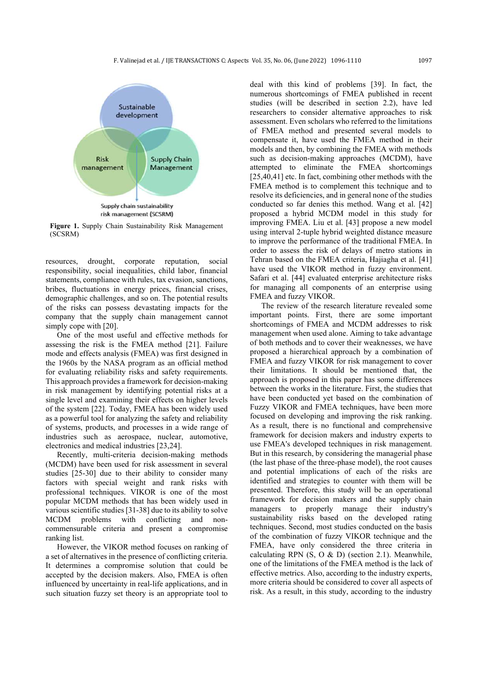

**Figure 1.** Supply Chain Sustainability Risk Management (SCSRM)

resources, drought, corporate reputation, social responsibility, social inequalities, child labor, financial statements, compliance with rules, tax evasion, sanctions, bribes, fluctuations in energy prices, financial crises, demographic challenges, and so on. The potential results of the risks can possess devastating impacts for the company that the supply chain management cannot simply cope with [20].

One of the most useful and effective methods for assessing the risk is the FMEA method [21]. Failure mode and effects analysis (FMEA) was first designed in the 1960s by the NASA program as an official method for evaluating reliability risks and safety requirements. This approach provides a framework for decision-making in risk management by identifying potential risks at a single level and examining their effects on higher levels of the system [22]. Today, FMEA has been widely used as a powerful tool for analyzing the safety and reliability of systems, products, and processes in a wide range of industries such as aerospace, nuclear, automotive, electronics and medical industries [23,24] .

Recently, multi-criteria decision-making methods (MCDM) have been used for risk assessment in several studies [25-30] due to their ability to consider many factors with special weight and rank risks with professional techniques. VIKOR is one of the most popular MCDM methods that has been widely used in various scientific studies [31-38] due to its ability to solve MCDM problems with conflicting and noncommensurable criteria and present a compromise ranking list.

However, the VIKOR method focuses on ranking of a set of alternatives in the presence of conflicting criteria. It determines a compromise solution that could be accepted by the decision makers. Also, FMEA is often influenced by uncertainty in real-life applications, and in such situation fuzzy set theory is an appropriate tool to deal with this kind of problems [39]. In fact, the numerous shortcomings of FMEA published in recent studies (will be described in section 2.2), have led researchers to consider alternative approaches to risk assessment. Even scholars who referred to the limitations of FMEA method and presented several models to compensate it, have used the FMEA method in their models and then, by combining the FMEA with methods such as decision-making approaches (MCDM), have attempted to eliminate the FMEA shortcomings [25,40,41] etc. In fact, combining other methods with the FMEA method is to complement this technique and to resolve its deficiencies, and in general none of the studies conducted so far denies this method. Wang et al. [42] proposed a hybrid MCDM model in this study for improving FMEA. Liu et al. [43] propose a new model using interval 2-tuple hybrid weighted distance measure to improve the performance of the traditional FMEA. In order to assess the risk of delays of metro stations in Tehran based on the FMEA criteria, Hajiagha et al. [41] have used the VIKOR method in fuzzy environment. Safari et al. [44] evaluated enterprise architecture risks for managing all components of an enterprise using FMEA and fuzzy VIKOR.

The review of the research literature revealed some important points. First, there are some important shortcomings of FMEA and MCDM addresses to risk management when used alone. Aiming to take advantage of both methods and to cover their weaknesses, we have proposed a hierarchical approach by a combination of FMEA and fuzzy VIKOR for risk management to cover their limitations. It should be mentioned that, the approach is proposed in this paper has some differences between the works in the literature. First, the studies that have been conducted yet based on the combination of Fuzzy VIKOR and FMEA techniques, have been more focused on developing and improving the risk ranking. As a result, there is no functional and comprehensive framework for decision makers and industry experts to use FMEA's developed techniques in risk management. But in this research, by considering the managerial phase (the last phase of the three-phase model), the root causes and potential implications of each of the risks are identified and strategies to counter with them will be presented. Therefore, this study will be an operational framework for decision makers and the supply chain managers to properly manage their industry's sustainability risks based on the developed rating techniques. Second, most studies conducted on the basis of the combination of fuzzy VIKOR technique and the FMEA, have only considered the three criteria in calculating RPN (S, O & D) (section 2.1). Meanwhile, one of the limitations of the FMEA method is the lack of effective metrics. Also, according to the industry experts, more criteria should be considered to cover all aspects of risk. As a result, in this study, according to the industry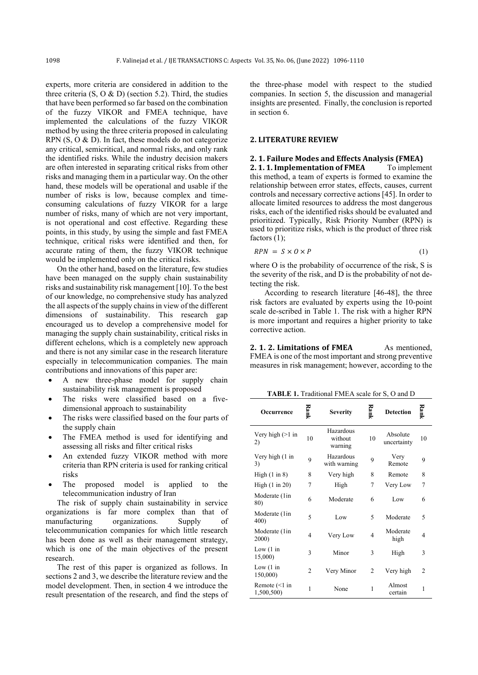experts, more criteria are considered in addition to the three criteria  $(S, O & D)$  (section 5.2). Third, the studies that have been performed so far based on the combination of the fuzzy VIKOR and FMEA technique, have implemented the calculations of the fuzzy VIKOR method by using the three criteria proposed in calculating RPN (S, O & D). In fact, these models do not categorize any critical, semicritical, and normal risks, and only rank the identified risks. While the industry decision makers are often interested in separating critical risks from other risks and managing them in a particular way. On the other hand, these models will be operational and usable if the number of risks is low, because complex and timeconsuming calculations of fuzzy VIKOR for a large number of risks, many of which are not very important, is not operational and cost effective. Regarding these points, in this study, by using the simple and fast FMEA technique, critical risks were identified and then, for accurate rating of them, the fuzzy VIKOR technique would be implemented only on the critical risks.

On the other hand, based on the literature, few studies have been managed on the supply chain sustainability risks and sustainability risk management [10]. To the best of our knowledge, no comprehensive study has analyzed the all aspects of the supply chains in view of the different dimensions of sustainability. This research gap encouraged us to develop a comprehensive model for managing the supply chain sustainability, critical risks in different echelons, which is a completely new approach and there is not any similar case in the research literature especially in telecommunication companies. The main contributions and innovations of this paper are:

- A new three-phase model for supply chain sustainability risk management is proposed
- The risks were classified based on a fivedimensional approach to sustainability
- The risks were classified based on the four parts of the supply chain
- The FMEA method is used for identifying and assessing all risks and filter critical risks
- An extended fuzzy VIKOR method with more criteria than RPN criteria is used for ranking critical risks
- The proposed model is applied to the telecommunication industry of Iran

The risk of supply chain sustainability in service organizations is far more complex than that of manufacturing organizations. Supply of telecommunication companies for which little research has been done as well as their management strategy, which is one of the main objectives of the present research.

The rest of this paper is organized as follows. In sections 2 and 3, we describe the literature review and the model development. Then, in section 4 we introduce the result presentation of the research, and find the steps of the three-phase model with respect to the studied companies. In section 5, the discussion and managerial insights are presented. Finally, the conclusion is reported in section 6.

## **2. LITERATURE REVIEW**

## **2. 1. Failure Modes and Effects Analysis (FMEA)**

**2. 1. 1. Implementation of FMEA** To implement this method, a team of experts is formed to examine the relationship between error states, effects, causes, current controls and necessary corrective actions [45]. In order to allocate limited resources to address the most dangerous risks, each of the identified risks should be evaluated and prioritized. Typically, Risk Priority Number (RPN) is used to prioritize risks, which is the product of three risk factors  $(1)$ ;

$$
RPN = S \times O \times P \tag{1}
$$

where O is the probability of occurrence of the risk, S is the severity of the risk, and D is the probability of not detecting the risk.

According to research literature [46-48], the three risk factors are evaluated by experts using the 10-point scale de-scribed in Table 1. The risk with a higher RPN is more important and requires a higher priority to take corrective action.

**2. 1. 2. Limitations of FMEA** As mentioned, FMEA is one of the most important and strong preventive measures in risk management; however, according to the

**TABLE 1.** Traditional FMEA scale for S, O and D

| Occurrence                       | Rank           | <b>Severity</b>                 | Rank           | <b>Detection</b>        | Rank           |
|----------------------------------|----------------|---------------------------------|----------------|-------------------------|----------------|
| Very high $(>1$ in<br>2)         | 10             | Hazardous<br>without<br>warning | 10             | Absolute<br>uncertainty | 10             |
| Very high (1 in<br>3)            | 9              | Hazardous<br>with warning       | 9              | Very<br>Remote          | 9              |
| High $(1 \text{ in } 8)$         | 8              | Very high                       | 8              | Remote                  | 8              |
| High $(1 \text{ in } 20)$        | 7              | High                            | 7              | Very Low                | 7              |
| Moderate (1in<br>80)             | 6              | Moderate                        | 6              | Low                     | 6              |
| Moderate (1in<br>400)            | 5              | Low                             | 5              | Moderate                | 5              |
| Moderate (1in<br>2000)           | 4              | Very Low                        | 4              | Moderate<br>high        | 4              |
| Low $(1 \text{ in}$<br>15,000)   | 3              | Minor                           | 3              | High                    | 3              |
| Low $(1 \text{ in}$<br>150,000)  | $\overline{2}$ | Very Minor                      | $\overline{2}$ | Very high               | $\overline{c}$ |
| Remote $(\leq)$ in<br>1,500,500) | 1              | None                            | 1              | Almost<br>certain       | 1              |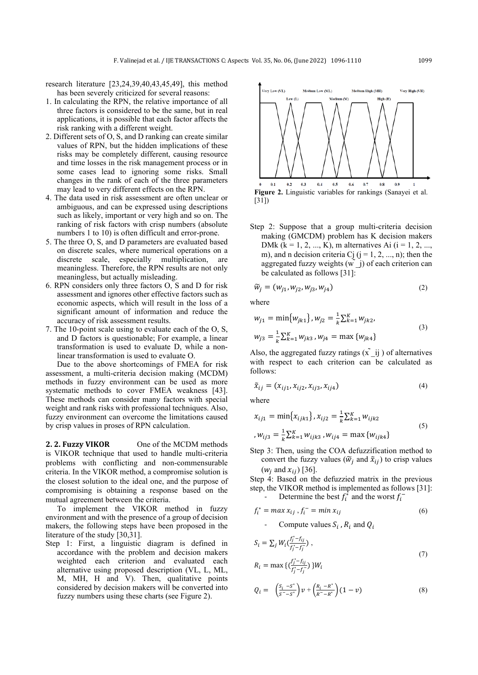research literature [23,24,39,40,43,45,49], this method has been severely criticized for several reasons:

- 1. In calculating the RPN, the relative importance of all three factors is considered to be the same, but in real applications, it is possible that each factor affects the risk ranking with a different weight.
- 2. Different sets of O, S, and D ranking can create similar values of RPN, but the hidden implications of these risks may be completely different, causing resource and time losses in the risk management process or in some cases lead to ignoring some risks. Small changes in the rank of each of the three parameters may lead to very different effects on the RPN.
- 4. The data used in risk assessment are often unclear or ambiguous, and can be expressed using descriptions such as likely, important or very high and so on. The ranking of risk factors with crisp numbers (absolute numbers 1 to 10) is often difficult and error-prone.
- 5. The three O, S, and D parameters are evaluated based on discrete scales, where numerical operations on a discrete scale, especially multiplication, are meaningless. Therefore, the RPN results are not only meaningless, but actually misleading.
- 6. RPN considers only three factors O, S and D for risk assessment and ignores other effective factors such as economic aspects, which will result in the loss of a significant amount of information and reduce the accuracy of risk assessment results.
- 7. The 10-point scale using to evaluate each of the O, S, and D factors is questionable; For example, a linear transformation is used to evaluate D, while a nonlinear transformation is used to evaluate O.

Due to the above shortcomings of FMEA for risk assessment, a multi-criteria decision making (MCDM) methods in fuzzy environment can be used as more systematic methods to cover FMEA weakness [43]. These methods can consider many factors with special weight and rank risks with professional techniques. Also, fuzzy environment can overcome the limitations caused by crisp values in proses of RPN calculation.

**2. 2. Fuzzy VIKOR** One of the MCDM methods is VIKOR technique that used to handle multi-criteria problems with conflicting and non-commensurable criteria. In the VIKOR method, a compromise solution is the closest solution to the ideal one, and the purpose of compromising is obtaining a response based on the mutual agreement between the criteria.

To implement the VIKOR method in fuzzy environment and with the presence of a group of decision makers, the following steps have been proposed in the literature of the study [30,31].

Step 1: First, a linguistic diagram is defined in accordance with the problem and decision makers weighted each criterion and evaluated each alternative using proposed description (VL, L, ML, M, MH, H and V). Then, qualitative points considered by decision makers will be converted into fuzzy numbers using these charts (see Figure 2).

**Very Low (VL)** Medium Low (ML) Medium High (MH) Very High (VH) Low (L) Medium (M)  $0.2$  $0.3$  $0.4$  $0.5$  $0.6$  $0.7$  $0.8$  $0.5$  $\mathbf{1}$ **Figure 2.** Linguistic variables for rankings (Sanayei et al. [31])

Step 2: Suppose that a group multi-criteria decision making (GMCDM) problem has K decision makers DMk ( $k = 1, 2, ..., K$ ), m alternatives Ai ( $i = 1, 2, ...,$ m), and n decision criteria Cj  $(j = 1, 2, ..., n)$ ; then the aggregated fuzzy weights  $(w^{\dagger}$ j) of each criterion can be calculated as follows [31]:

$$
\widetilde{w}_j = (w_{j1}, w_{j2}, w_{j3}, w_{j4})
$$
\n(2)

where

$$
w_{j1} = \min\{w_{jk1}\}, w_{j2} = \frac{1}{k} \sum_{k=1}^{K} w_{jk2},
$$
  

$$
w_{j3} = \frac{1}{k} \sum_{k=1}^{K} w_{jk3}, w_{j4} = \max\{w_{jk4}\}
$$
 (3)

Also, the aggregated fuzzy ratings  $(\tilde{x} \cdot \tilde{y})$  of alternatives with respect to each criterion can be calculated as follows:

$$
\tilde{x}_{ij} = (x_{ij1}, x_{ij2}, x_{ij3}, x_{ij4})
$$
\n(4)

where

$$
x_{ij1} = \min\{x_{ijk1}\}, x_{ij2} = \frac{1}{k} \sum_{k=1}^{K} w_{ijk2}
$$
  
, 
$$
w_{ij3} = \frac{1}{k} \sum_{k=1}^{K} w_{ijk3}, w_{ij4} = \max\{w_{ijk4}\}
$$
 (5)

Step 3: Then, using the COA defuzzification method to convert the fuzzy values ( $\widetilde{w}_j$  and  $\widetilde{x}_{ij}$ ) to crisp values  $(w_j \text{ and } x_{ij})$  [36].

Step 4: Based on the defuzzied matrix in the previous step, the VIKOR method is implemented as follows [31]: - Determine the best  $f_i^*$  and the worst  $f_i^-$ 

$$
f_i^* = \max x_{ij}, f_i^- = \min x_{ij} \tag{6}
$$

- Compute values  $S_i$ ,  $R_i$  and  $Q_i$ 

$$
S_i = \sum_j W_i \left( \frac{f_j^* - f_{ij}}{f_j^* - f_j^-} \right),
$$
  
\n
$$
B_i = \max_i \left( \frac{f_j^* - f_{ij}}{f_j^* - f_{ij}^-} \right)
$$
 (7)

$$
R_i = \max\left\{ \frac{\binom{j_j - j_i}{j_j - j_j}}{f_j^* - f_j} \right\} W_i
$$

$$
Q_i = \left(\frac{S_i - S^*}{S^- - S^*}\right) v + \left(\frac{R_i - R^*}{R^- - R^*}\right) (1 - v) \tag{8}
$$

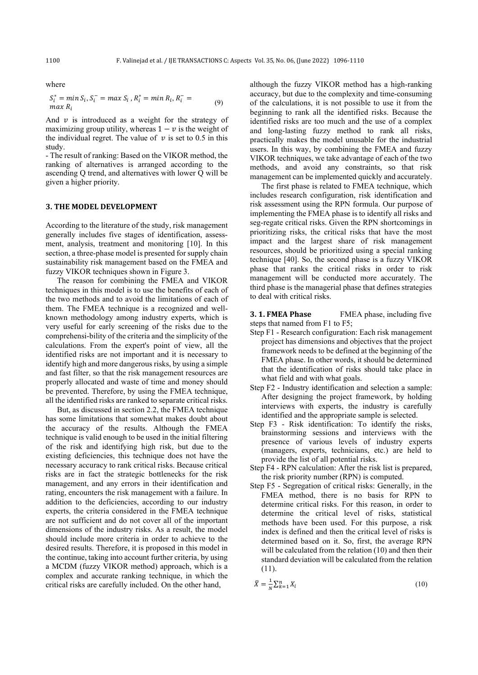where

$$
S_i^* = \min S_i, S_i^- = \max S_i, R_i^* = \min R_i, R_i^- = \max R_i
$$
 (9)

And  $\nu$  is introduced as a weight for the strategy of maximizing group utility, whereas  $1 - v$  is the weight of the individual regret. The value of  $\nu$  is set to 0.5 in this study.

- The result of ranking: Based on the VIKOR method, the ranking of alternatives is arranged according to the ascending Q trend, and alternatives with lower Q will be given a higher priority.

## **3. THE MODEL DEVELOPMENT**

According to the literature of the study, risk management generally includes five stages of identification, assessment, analysis, treatment and monitoring [10]. In this section, a three-phase model is presented for supply chain sustainability risk management based on the FMEA and fuzzy VIKOR techniques shown in Figure 3.

The reason for combining the FMEA and VIKOR techniques in this model is to use the benefits of each of the two methods and to avoid the limitations of each of them. The FMEA technique is a recognized and wellknown methodology among industry experts, which is very useful for early screening of the risks due to the comprehensi-bility of the criteria and the simplicity of the calculations. From the expert's point of view, all the identified risks are not important and it is necessary to identify high and more dangerous risks, by using a simple and fast filter, so that the risk management resources are properly allocated and waste of time and money should be prevented. Therefore, by using the FMEA technique, all the identified risks are ranked to separate critical risks .

But, as discussed in section 2.2, the FMEA technique has some limitations that somewhat makes doubt about the accuracy of the results. Although the FMEA technique is valid enough to be used in the initial filtering of the risk and identifying high risk, but due to the existing deficiencies, this technique does not have the necessary accuracy to rank critical risks. Because critical risks are in fact the strategic bottlenecks for the risk management, and any errors in their identification and rating, encounters the risk management with a failure. In addition to the deficiencies, according to our industry experts, the criteria considered in the FMEA technique are not sufficient and do not cover all of the important dimensions of the industry risks. As a result, the model should include more criteria in order to achieve to the desired results. Therefore, it is proposed in this model in the continue, taking into account further criteria, by using a MCDM (fuzzy VIKOR method) approach, which is a complex and accurate ranking technique, in which the critical risks are carefully included. On the other hand,

although the fuzzy VIKOR method has a high-ranking accuracy, but due to the complexity and time-consuming of the calculations, it is not possible to use it from the beginning to rank all the identified risks. Because the identified risks are too much and the use of a complex and long-lasting fuzzy method to rank all risks, practically makes the model unusable for the industrial users. In this way, by combining the FMEA and fuzzy VIKOR techniques, we take advantage of each of the two methods, and avoid any constraints, so that risk management can be implemented quickly and accurately .

The first phase is related to FMEA technique, which includes research configuration, risk identification and risk assessment using the RPN formula. Our purpose of implementing the FMEA phase is to identify all risks and seg-regate critical risks. Given the RPN shortcomings in prioritizing risks, the critical risks that have the most impact and the largest share of risk management resources, should be prioritized using a special ranking technique [40]. So, the second phase is a fuzzy VIKOR phase that ranks the critical risks in order to risk management will be conducted more accurately. The third phase is the managerial phase that defines strategies to deal with critical risks.

**3. 1. FMEA Phase** FMEA phase, including five steps that named from F1 to F5;

- Step F1 Research configuration: Each risk management project has dimensions and objectives that the project framework needs to be defined at the beginning of the FMEA phase. In other words, it should be determined that the identification of risks should take place in what field and with what goals.
- Step F2 Industry identification and selection a sample: After designing the project framework, by holding interviews with experts, the industry is carefully identified and the appropriate sample is selected.
- Step F3 Risk identification: To identify the risks, brainstorming sessions and interviews with the presence of various levels of industry experts (managers, experts, technicians, etc.) are held to provide the list of all potential risks.
- Step F4 RPN calculation: After the risk list is prepared, the risk priority number (RPN) is computed.
- Step F5 Segregation of critical risks: Generally, in the FMEA method, there is no basis for RPN to determine critical risks. For this reason, in order to determine the critical level of risks, statistical methods have been used. For this purpose, a risk index is defined and then the critical level of risks is determined based on it. So, first, the average RPN will be calculated from the relation (10) and then their standard deviation will be calculated from the relation (11).

$$
\bar{X} = \frac{1}{N} \sum_{k=1}^{n} X_i
$$
\n<sup>(10)</sup>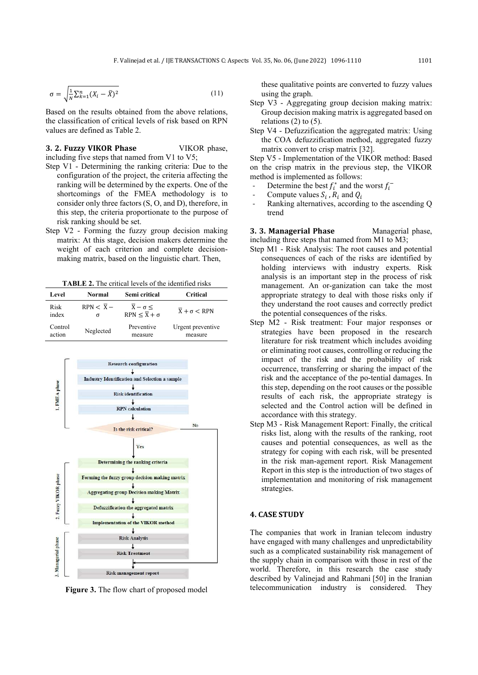$$
\sigma = \sqrt{\frac{1}{N} \sum_{k=1}^{n} (X_i - \overline{X})^2}
$$
\n(11)

Based on the results obtained from the above relations, the classification of critical levels of risk based on RPN values are defined as Table 2.

### **3. 2. Fuzzy VIKOR Phase** VIKOR phase, including five steps that named from  $V1$  to  $V5$ ;

- Step V1 Determining the ranking criteria: Due to the configuration of the project, the criteria affecting the ranking will be determined by the experts. One of the shortcomings of the FMEA methodology is to consider only three factors (S, O, and D), therefore, in this step, the criteria proportionate to the purpose of risk ranking should be set.
- Step V2 Forming the fuzzy group decision making matrix: At this stage, decision makers determine the weight of each criterion and complete decisionmaking matrix, based on the linguistic chart. Then,

**TABLE 2.** The critical levels of the identified risks

| Level   | Normal                 | Semi critical                 | <b>Critical</b>    |  |  |
|---------|------------------------|-------------------------------|--------------------|--|--|
| Risk    | $RPN < \overline{X}$ - | $\overline{X} - \sigma \leq$  | $X + \sigma < RPN$ |  |  |
| index   | σ                      | $RPN < \overline{X} + \sigma$ |                    |  |  |
| Control | Neglected              | Preventive                    | Urgent preventive  |  |  |
| action  |                        | measure                       | measure            |  |  |



**Figure 3.** The flow chart of proposed model

these qualitative points are converted to fuzzy values using the graph.

- Step V3 Aggregating group decision making matrix: Group decision making matrix is aggregated based on relations  $(2)$  to  $(5)$ .
- Step V4 Defuzzification the aggregated matrix: Using the COA defuzzification method, aggregated fuzzy matrix convert to crisp matrix [32].

Step V5 - Implementation of the VIKOR method: Based on the crisp matrix in the previous step, the VIKOR method is implemented as follows:

- Determine the best  $f_i^*$  and the worst  $f_i^-$
- Compute values  $S_i$ ,  $R_i$  and  $Q_i$
- Ranking alternatives, according to the ascending Q trend

**3. 3. Managerial Phase** Managerial phase, including three steps that named from M1 to M3;

- Step M1 Risk Analysis: The root causes and potential consequences of each of the risks are identified by holding interviews with industry experts. Risk analysis is an important step in the process of risk management. An or-ganization can take the most appropriate strategy to deal with those risks only if they understand the root causes and correctly predict the potential consequences of the risks.
- Step M2 Risk treatment: Four major responses or strategies have been proposed in the research literature for risk treatment which includes avoiding or eliminating root causes, controlling or reducing the impact of the risk and the probability of risk occurrence, transferring or sharing the impact of the risk and the acceptance of the po-tential damages. In this step, depending on the root causes or the possible results of each risk, the appropriate strategy is selected and the Control action will be defined in accordance with this strategy.
- Step M3 Risk Management Report: Finally, the critical risks list, along with the results of the ranking, root causes and potential consequences, as well as the strategy for coping with each risk, will be presented in the risk man-agement report. Risk Management Report in this step is the introduction of two stages of implementation and monitoring of risk management strategies.

### **4. CASE STUDY**

The companies that work in Iranian telecom industry have engaged with many challenges and unpredictability such as a complicated sustainability risk management of the supply chain in comparison with those in rest of the world. Therefore, in this research the case study described by Valinejad and Rahmani [50] in the Iranian telecommunication industry is considered. They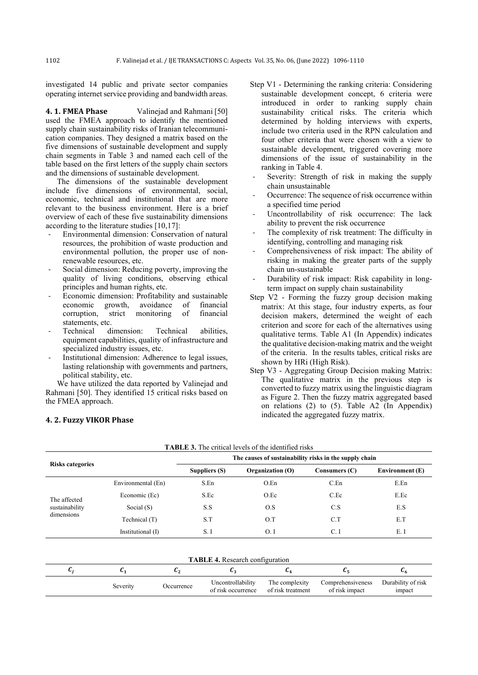investigated 14 public and private sector companies operating internet service providing and bandwidth areas .

**4. 1. FMEA Phase** Valinejad and Rahmani [50] used the FMEA approach to identify the mentioned supply chain sustainability risks of Iranian telecommunication companies. They designed a matrix based on the five dimensions of sustainable development and supply chain segments in Table 3 and named each cell of the table based on the first letters of the supply chain sectors and the dimensions of sustainable development.

The dimensions of the sustainable development include five dimensions of environmental, social, economic, technical and institutional that are more relevant to the business environment. Here is a brief overview of each of these five sustainability dimensions according to the literature studies [10,17]:

- Environmental dimension: Conservation of natural resources, the prohibition of waste production and environmental pollution, the proper use of nonrenewable resources, etc.
- Social dimension: Reducing poverty, improving the quality of living conditions, observing ethical principles and human rights, etc.
- Economic dimension: Profitability and sustainable economic growth, avoidance of financial<br>corruption, strict monitoring of financial corruption, strict monitoring statements, etc.
- Technical dimension: Technical abilities, equipment capabilities, quality of infrastructure and specialized industry issues, etc.
- Institutional dimension: Adherence to legal issues, lasting relationship with governments and partners, political stability, etc.

We have utilized the data reported by Valinejad and Rahmani [50]. They identified 15 critical risks based on the FMEA approach.

**4. 2. Fuzzy VIKOR Phase**

- Step V1 Determining the ranking criteria: Considering sustainable development concept, 6 criteria were introduced in order to ranking supply chain sustainability critical risks. The criteria which determined by holding interviews with experts, include two criteria used in the RPN calculation and four other criteria that were chosen with a view to sustainable development, triggered covering more dimensions of the issue of sustainability in the ranking in Table 4.
- Severity: Strength of risk in making the supply chain unsustainable
- Occurrence: The sequence of risk occurrence within a specified time period
- Uncontrollability of risk occurrence: The lack ability to prevent the risk occurrence
- The complexity of risk treatment: The difficulty in identifying, controlling and managing risk
- Comprehensiveness of risk impact: The ability of risking in making the greater parts of the supply chain un-sustainable
- Durability of risk impact: Risk capability in longterm impact on supply chain sustainability
- Step V2 Forming the fuzzy group decision making matrix: At this stage, four industry experts, as four decision makers, determined the weight of each criterion and score for each of the alternatives using qualitative terms. Table A1 (In Appendix) indicates the qualitative decision-making matrix and the weight of the criteria. In the results tables, critical risks are shown by HRi (High Risk).
- Step V3 Aggregating Group Decision making Matrix: The qualitative matrix in the previous step is converted to fuzzy matrix using the linguistic diagram as Figure 2. Then the fuzzy matrix aggregated based on relations (2) to (5). Table A2 (In Appendix) indicated the aggregated fuzzy matrix.

|                         |                    | TADLE 9. The charge idvers of the rechtlice HSKS<br>The causes of sustainability risks in the supply chain |                  |               |                        |  |  |  |  |
|-------------------------|--------------------|------------------------------------------------------------------------------------------------------------|------------------|---------------|------------------------|--|--|--|--|
| <b>Risks categories</b> |                    | Suppliers (S)                                                                                              | Organization (O) | Consumers (C) | <b>Environment</b> (E) |  |  |  |  |
|                         | Environmental (En) | S.En                                                                                                       | O.En             | C.En          | E.En                   |  |  |  |  |
| The affected            | Economic (Ec)      | S.Ec                                                                                                       | O.Ec             | C.Ec          | E.Ec                   |  |  |  |  |
| sustainability          | Social $(S)$       | S.S                                                                                                        | O.S              | C.S           | E.S                    |  |  |  |  |
| dimensions              | Technical (T)      | S.T                                                                                                        | O.T              | C.T           | E.T                    |  |  |  |  |
|                         | Institutional (I)  | S.I                                                                                                        | O. I             | C.I           | E.I                    |  |  |  |  |

**TABLE 3.** The critical levels of the identified risks

|          |            | . .                                     |                                     |                                     |                              |
|----------|------------|-----------------------------------------|-------------------------------------|-------------------------------------|------------------------------|
| Severity | Occurrence | Uncontrollability<br>of risk occurrence | The complexity<br>of risk treatment | Comprehensiveness<br>of risk impact | Durability of risk<br>impact |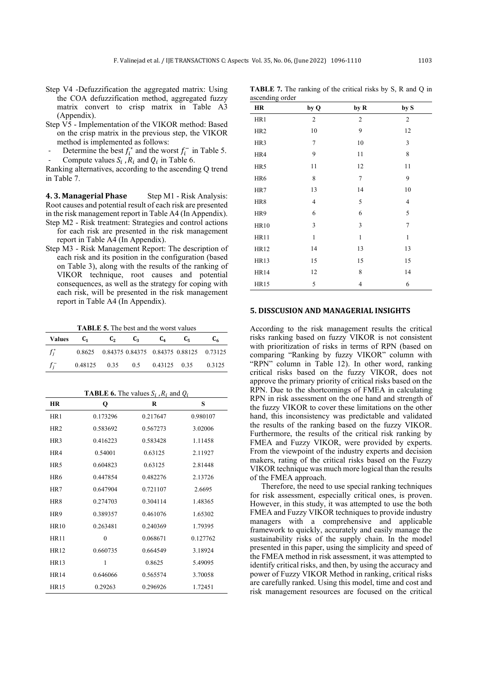- Step V4 -Defuzzification the aggregated matrix: Using the COA defuzzification method, aggregated fuzzy matrix convert to crisp matrix in Table A3 (Appendix).
- Step V5 Implementation of the VIKOR method: Based on the crisp matrix in the previous step, the VIKOR method is implemented as follows:
- Determine the best  $f_i^*$  and the worst  $f_i^-$  in Table 5.
- Compute values  $S_i$ ,  $R_i$  and  $Q_i$  in Table 6.

Ranking alternatives, according to the ascending Q trend in Table 7.

**4. 3. Managerial Phase** Step M1 - Risk Analysis: Root causes and potential result of each risk are presented in the risk management report in Table A4 (In Appendix). Step M2 - Risk treatment: Strategies and control actions

- for each risk are presented in the risk management report in Table A4 (In Appendix).
- Step M3 Risk Management Report: The description of each risk and its position in the configuration (based on Table 3), along with the results of the ranking of VIKOR technique, root causes and potential consequences, as well as the strategy for coping with each risk, will be presented in the risk management report in Table A4 (In Appendix).

**TABLE 5.** The best and the worst values

| <b>Values</b> | G1 | C <sub>2</sub> | $C_{2}$ | C <sub>4</sub>                          | €ē | C۵                                             |
|---------------|----|----------------|---------|-----------------------------------------|----|------------------------------------------------|
| $f_i^*$       |    |                |         |                                         |    | 0.8625 0.84375 0.84375 0.84375 0.88125 0.73125 |
| - t:T         |    |                |         | $0.48125$ $0.35$ $0.5$ $0.43125$ $0.35$ |    | 0.3125                                         |

**TABLE 6.** The values  $S_i$ ,  $R_i$  and  $Q_i$ 

| <b>HR</b>       | Q        | R        | S        |
|-----------------|----------|----------|----------|
| HR <sub>1</sub> | 0.173296 | 0.217647 | 0.980107 |
| HR <sub>2</sub> | 0.583692 | 0.567273 | 3.02006  |
| HR <sub>3</sub> | 0.416223 | 0.583428 | 1.11458  |
| HR4             | 0.54001  | 0.63125  | 2.11927  |
| HR <sub>5</sub> | 0.604823 | 0.63125  | 2.81448  |
| HR <sub>6</sub> | 0.447854 | 0.482276 | 2.13726  |
| HR7             | 0.647904 | 0.721107 | 2.6695   |
| HR <sub>8</sub> | 0.274703 | 0.304114 | 1.48365  |
| HR9             | 0.389357 | 0.461076 | 1.65302  |
| HR10            | 0.263481 | 0.240369 | 1.79395  |
| <b>HR11</b>     | $\theta$ | 0.068671 | 0.127762 |
| HR12            | 0.660735 | 0.664549 | 3.18924  |
| HR13            | 1        | 0.8625   | 5.49095  |
| <b>HR14</b>     | 0.646066 | 0.565574 | 3.70058  |
| <b>HR15</b>     | 0.29263  | 0.296926 | 1.72451  |

| <b>TABLE 7.</b> The ranking of the critical risks by S, R and Q in |  |  |  |  |  |  |
|--------------------------------------------------------------------|--|--|--|--|--|--|
| ascending order                                                    |  |  |  |  |  |  |

| <u>.</u><br>HR  | by Q           | by R           | by S           |
|-----------------|----------------|----------------|----------------|
| HR1             | $\overline{c}$ | $\mathfrak{2}$ | $\overline{2}$ |
| HR <sub>2</sub> | 10             | 9              | 12             |
| HR3             | $\tau$         | 10             | 3              |
| HR4             | 9              | 11             | 8              |
| HR5             | 11             | 12             | 11             |
| HR6             | $\,$ 8 $\,$    | $\tau$         | 9              |
| HR7             | 13             | 14             | 10             |
| HR8             | $\overline{4}$ | 5              | 4              |
| HR9             | 6              | 6              | 5              |
| <b>HR10</b>     | 3              | 3              | 7              |
| <b>HR11</b>     | $\mathbf{1}$   | $\mathbf{1}$   | $\mathbf{1}$   |
| <b>HR12</b>     | 14             | 13             | 13             |
| <b>HR13</b>     | 15             | 15             | 15             |
| <b>HR14</b>     | 12             | 8              | 14             |
| <b>HR15</b>     | 5              | $\overline{4}$ | 6              |

## **5. DISSCUSION AND MANAGERIAL INSIGHTS**

According to the risk management results the critical risks ranking based on fuzzy VIKOR is not consistent with prioritization of risks in terms of RPN (based on comparing "Ranking by fuzzy VIKOR" column with "RPN" column in Table 12). In other word, ranking critical risks based on the fuzzy VIKOR, does not approve the primary priority of critical risks based on the RPN. Due to the shortcomings of FMEA in calculating RPN in risk assessment on the one hand and strength of the fuzzy VIKOR to cover these limitations on the other hand, this inconsistency was predictable and validated the results of the ranking based on the fuzzy VIKOR. Furthermore, the results of the critical risk ranking by FMEA and Fuzzy VIKOR, were provided by experts. From the viewpoint of the industry experts and decision makers, rating of the critical risks based on the Fuzzy VIKOR technique was much more logical than the results of the FMEA approach.

Therefore, the need to use special ranking techniques for risk assessment, especially critical ones, is proven. However, in this study, it was attempted to use the both FMEA and Fuzzy VIKOR techniques to provide industry managers with a comprehensive and applicable framework to quickly, accurately and easily manage the sustainability risks of the supply chain. In the model presented in this paper, using the simplicity and speed of the FMEA method in risk assessment, it was attempted to identify critical risks, and then, by using the accuracy and power of Fuzzy VIKOR Method in ranking, critical risks are carefully ranked. Using this model, time and cost and risk management resources are focused on the critical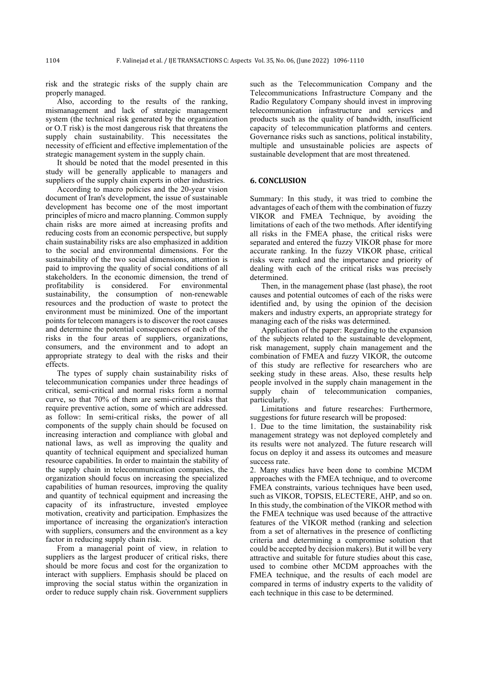risk and the strategic risks of the supply chain are properly managed.

Also, according to the results of the ranking, mismanagement and lack of strategic management system (the technical risk generated by the organization or O.T risk) is the most dangerous risk that threatens the supply chain sustainability. This necessitates the necessity of efficient and effective implementation of the strategic management system in the supply chain.

It should be noted that the model presented in this study will be generally applicable to managers and suppliers of the supply chain experts in other industries.

According to macro policies and the 20-year vision document of Iran's development, the issue of sustainable development has become one of the most important principles of micro and macro planning. Common supply chain risks are more aimed at increasing profits and reducing costs from an economic perspective, but supply chain sustainability risks are also emphasized in addition to the social and environmental dimensions. For the sustainability of the two social dimensions, attention is paid to improving the quality of social conditions of all stakeholders. In the economic dimension, the trend of profitability is considered. For environmental sustainability, the consumption of non-renewable resources and the production of waste to protect the environment must be minimized. One of the important points for telecom managers is to discover the root causes and determine the potential consequences of each of the risks in the four areas of suppliers, organizations, consumers, and the environment and to adopt an appropriate strategy to deal with the risks and their effects.

The types of supply chain sustainability risks of telecommunication companies under three headings of critical, semi-critical and normal risks form a normal curve, so that 70% of them are semi-critical risks that require preventive action, some of which are addressed. as follow: In semi-critical risks, the power of all components of the supply chain should be focused on increasing interaction and compliance with global and national laws, as well as improving the quality and quantity of technical equipment and specialized human resource capabilities. In order to maintain the stability of the supply chain in telecommunication companies, the organization should focus on increasing the specialized capabilities of human resources, improving the quality and quantity of technical equipment and increasing the capacity of its infrastructure, invested employee motivation, creativity and participation. Emphasizes the importance of increasing the organization's interaction with suppliers, consumers and the environment as a key factor in reducing supply chain risk.

From a managerial point of view, in relation to suppliers as the largest producer of critical risks, there should be more focus and cost for the organization to interact with suppliers. Emphasis should be placed on improving the social status within the organization in order to reduce supply chain risk. Government suppliers such as the Telecommunication Company and the Telecommunications Infrastructure Company and the Radio Regulatory Company should invest in improving telecommunication infrastructure and services and products such as the quality of bandwidth, insufficient capacity of telecommunication platforms and centers . Governance risks such as sanctions, political instability, multiple and unsustainable policies are aspects of sustainable development that are most threatened.

## **6. CONCLUSION**

Summary: In this study, it was tried to combine the advantages of each of them with the combination of fuzzy VIKOR and FMEA Technique, by avoiding the limitations of each of the two methods. After identifying all risks in the FMEA phase, the critical risks were separated and entered the fuzzy VIKOR phase for more accurate ranking. In the fuzzy VIKOR phase, critical risks were ranked and the importance and priority of dealing with each of the critical risks was precisely determined.

Then, in the management phase (last phase), the root causes and potential outcomes of each of the risks were identified and, by using the opinion of the decision makers and industry experts, an appropriate strategy for managing each of the risks was determined.

Application of the paper: Regarding to the expansion of the subjects related to the sustainable development, risk management, supply chain management and the combination of FMEA and fuzzy VIKOR, the outcome of this study are reflective for researchers who are seeking study in these areas. Also, these results help people involved in the supply chain management in the supply chain of telecommunication companies, particularly.

Limitations and future researches: Furthermore, suggestions for future research will be proposed:

1. Due to the time limitation, the sustainability risk management strategy was not deployed completely and its results were not analyzed. The future research will focus on deploy it and assess its outcomes and measure success rate.

2. Many studies have been done to combine MCDM approaches with the FMEA technique, and to overcome FMEA constraints, various techniques have been used, such as VIKOR, TOPSIS, ELECTERE, AHP, and so on. In this study, the combination of the VIKOR method with the FMEA technique was used because of the attractive features of the VIKOR method (ranking and selection from a set of alternatives in the presence of conflicting criteria and determining a compromise solution that could be accepted by decision makers). But it will be very attractive and suitable for future studies about this case, used to combine other MCDM approaches with the FMEA technique, and the results of each model are compared in terms of industry experts to the validity of each technique in this case to be determined.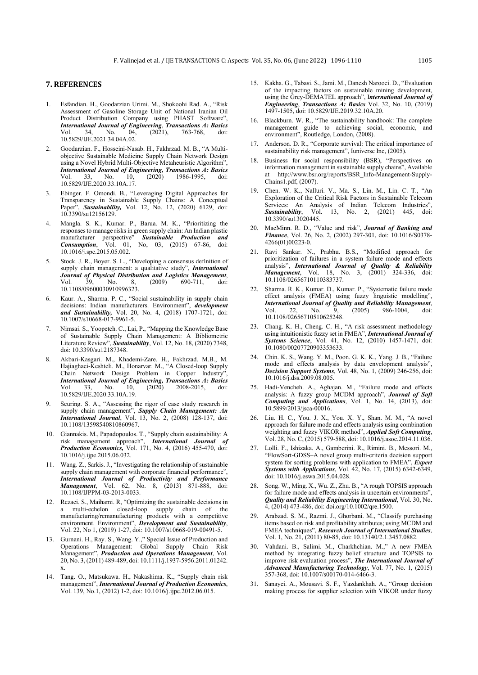## **7. REFERENCES**

- 1. Esfandian. H., Goodarzian Urimi. M., Shokoohi Rad. A., "Risk Assessment of Gasoline Storage Unit of National Iranian Oil Product Distribution Company using PHAST Software", *International Journal of Engineering*, *Transactions A: Basics* Vol. 34, No. 04, (2021), 763-768, doi: 10.5829/IJE.2021.34.04A.02.
- 2. Goodarzian. F., Hosseini-Nasab. H., Fakhrzad. M. B., "A Multiobjective Sustainable Medicine Supply Chain Network Design using a Novel Hybrid Multi-Objective Metaheuristic Algorithm". *International Journal of Engineering, Transactions A: Basics* Vol. 33, No. 10, (2020) 1986-1995, doi: Vol. 33, No. 10,<br>10.5829/IJE.2020.33.10A.17.
- 3. Ebinger. F. Omondi. B., "Leveraging Digital Approaches for Transparency in Sustainable Supply Chains: A Conceptual Paper", *Sustainability,* Vol. 12, No. 12, (2020) 6129, doi: 10.3390/su12156129.
- 4. Mangla. S. K., Kumar. P., Barua. M. K., "Prioritizing the responses to manage risks in green supply chain: An Indian plastic manufacturer perspective" *Sustainable Production and*  manufacturer perspective" **Sustainable Production** and **Consumption**, Vol. 01, No, 03, (2015) 67-86, doi: 10.1016/j.spc.2015.05.002.
- 5. Stock. J. R., Boyer. S. L., "Developing a consensus definition of supply chain management: a qualitative study", *International Journal of Physical Distribution and Logistics Management*, Vol. 39, No. 8, (2009) 690-711, doi: 10.1108/09600030910996323.
- 6. Kaur. A., Sharma. P. C., "Social sustainability in supply chain decisions: Indian manufacturers. Environment", *development and Sustainability,* Vol. 20, No. 4, (2018) 1707-1721, doi: 10.1007/s10668-017-9961-5.
- 7. Nimsai. S., Yoopetch. C., Lai, P., "Mapping the Knowledge Base of Sustainable Supply Chain Management: A Bibliometric Literature Review", *Sustainability*, Vol. 12, No. 18, (2020) 7348, doi: 10.3390/su12187348.
- 8. Akbari-Kasgari. M., Khademi-Zare. H., Fakhrzad. M.B., M. Hajiaghaei-Keshteli. M., Honarvar. M., "A Closed-loop Supply Chain Network Design Problem in Copper Industry", *International Journal of Engineering, Transactions A: Basics* Vol. 33, No. 10, (2020) 2008-2015, doi: 10.5829/IJE.2020.33.10A.19.
- 9. Seuring. S. A., "Assessing the rigor of case study research in supply chain management", *Supply Chain Management: An International Journal*, Vol. 13, No. 2, (2008) 128-137, doi: 10.1108/13598540810860967.
- 10. Giannakis. M., Papadopoulos. T., "Supply chain sustainability: A risk management approach", *International Journal of Production Economics,* Vol. 171, No. 4, (2016) 455-470, doi: 10.1016/j.ijpe.2015.06.032.
- 11. Wang. Z., Sarkis. J., "Investigating the relationship of sustainable supply chain management with corporate financial performance", *International Journal of Productivity and Performance Management*, Vol. 62, No. 8, (2013) 871-888, doi: 10.1108/IJPPM-03-2013-0033.
- 12. Rezaei. S., Maihami. R, "Optimizing the sustainable decisions in a multi-echelon closed-loop supply chain of the manufacturing/remanufacturing products with a competitive environment. Environment", *Development and Sustainability*, Vol. 22, No 1, (2019) 1-27, doi: 10.1007/s10668-019-00491-5.
- 13. Gurnani. H., Ray. S., Wang. Y.," Special Issue of Production and Operations Management: Global Supply Chain Risk Management", *Production and Operations Management*, Vol. 20, No. 3, (2011) 489-489, doi: 10.1111/j.1937-5956.2011.01242. x.
- 14. Tang. O., Matsukawa. H., Nakashima. K., "Supply chain risk management", *International Journal of Production Economics*, Vol. 139, No.1, (2012) 1-2, doi: 10.1016/j.ijpe.2012.06.015.
- 15. Kakha. G., Tabasi. S., Jami. M., Danesh Narooei. D., "Evaluation of the impacting factors on sustainable mining development, using the Grey-DEMATEL approach", I*nternational Journal of Engineering*, *Transactions A: Basics* Vol. 32, No. 10, (2019) 1497-1505, doi: 10.5829/IJE.2019.32.10A.20.
- 16. Blackburn. W. R., "The sustainability handbook: The complete management guide to achieving social, economic, and environment", Routledge, London, (2008).
- 17. Anderson. D. R., "Corporate survival: The critical importance of sustainability risk management", Iuniverse Inc, (2005).
- 18. Business for social responsibility (BSR), "Perspectives on information management in sustainable supply chains", Available at http://www.bsr.org/reports/BSR\_Info-Management-Supply-Chains1.pdf, (2007).
- 19. Chen. W. K., Nalluri. V., Ma. S., Lin. M., Lin. C. T., "An Exploration of the Critical Risk Factors in Sustainable Telecom Services: An Analysis of Indian Telecom Industries", **Sustainability**, Vol. 13, No. 2, (2021) 445, doi: 13, No. 2, (2021) 445, doi: 10.3390/su13020445.
- 20. MacMinn. R. D., "Value and risk", *Journal of Banking and Finance*, Vol. 26, No. 2, (2002) 297-301, doi: 10.1016/S0378- 4266(01)00223-0.
- 21. Ravi Sankar. N., Prabhu. B.S., "Modified approach for prioritization of failures in a system failure mode and effects analysis", *International Journal of Quality & Reliability Management*, Vol. 18, No. 3, (2001) 324-336, doi: 10.1108/02656710110383737.
- 22. Sharma. R. K., Kumar. D., Kumar. P., "Systematic failure mode effect analysis (FMEA) using fuzzy linguistic modelling", *International Journal of Quality and Reliability Management*, Vol. 22, No. 9, (2005) 986-1004, doi: 10.1108/02656710510625248.
- 23. Chang. K. H., Cheng. C. H., "A risk assessment methodology using intuitionistic fuzzy set in FMEA", *International Journal of Systems Science*, Vol. 41, No. 12, (2010) 1457-1471, doi: 10.1080/00207720903353633.
- 24. Chin. K. S., Wang. Y. M., Poon. G. K. K., Yang. J. B., "Failure mode and effects analysis by data envelopment analysis", *Decision Support Systems*, Vol. 48, No. 1, (2009) 246-256, doi: 10.1016/j.dss.2009.08.005.
- 25. Hadi-Vencheh. A., Aghajan. M., "Failure mode and effects analysis: A fuzzy group MCDM approach", *Journal of Soft Computing and Applications*, Vol. 1, No. 14, (2013), doi: 10.5899/2013/jsca-00016.
- 26. Liu. H. C., You. J. X., You. X. Y., Shan. M. M., "A novel approach for failure mode and effects analysis using combination weighting and fuzzy VIKOR method", *Applied Soft Computing*, Vol. 28, No. C, (2015) 579-588, doi: 10.1016/j.asoc.2014.11.036.
- 27. Lolli. F., Ishizaka. A., Gamberini. R., Rimini. B., Messori. M., "FlowSort-GDSS–A novel group multi-criteria decision support system for sorting problems with application to FMEA", *Expert Systems with Applications*, Vol. 42, No. 17, (2015) 6342-6349, doi: 10.1016/j.eswa.2015.04.028.
- 28. Song. W., Ming. X., Wu. Z., Zhu. B., "A rough TOPSIS approach for failure mode and effects analysis in uncertain environments", *Quality and Reliability Engineering International*, Vol. 30, No. 4, (2014) 473-486, doi: doi.org/10.1002/qre.1500.
- 29. Arabzad. S. M., Razmi. J., Ghorbani. M., "Classify purchasing items based on risk and profitability attributes; using MCDM and FMEA techniques", *Research Journal of International Studies*, Vol. 1, No. 21, (2011) 80-85, doi: 10.13140/2.1.3457.0882.
- 30. Vahdani. B., Salimi. M., Charkhchian. M.," A new FMEA method by integrating fuzzy belief structure and TOPSIS to improve risk evaluation process", *The International Journal of Advanced Manufacturing Technology*, Vol. 77, No. 1, (2015) 357-368, doi: 10.1007/s00170-014-6466-3.
- 31. Sanayei. A., Mousavi. S. F., Yazdankhah. A., "Group decision making process for supplier selection with VIKOR under fuzzy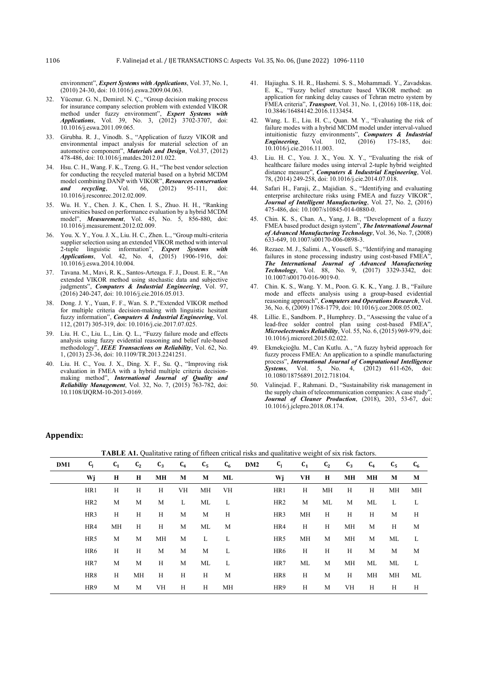environment", *Expert Systems with Applications*, Vol. 37, No. 1, (2010) 24-30, doi: 10.1016/j.eswa.2009.04.063.

- 32. Yücenur. G. N., Demirel. N. Ç., "Group decision making process for insurance company selection problem with extended VIKOR method under fuzzy environment", *Expert Systems with Applications*, Vol. 39, No. 3, (2012) 3702-3707, doi: 10.1016/j.eswa.2011.09.065.
- 33. Girubha. R. J., Vinodh. S., "Application of fuzzy VIKOR and environmental impact analysis for material selection of an automotive component", *Materials and Design*, Vol.37, (2012) 478-486, doi: 10.1016/j.matdes.2012.01.022.
- 34. Hsu. C. H., Wang. F. K., Tzeng. G. H., "The best vendor selection for conducting the recycled material based on a hybrid MCDM model combining DANP with VIKOR", **Resources conservation** and **recycling**, Vol. 66, (2012) 95-111, doi: *and recycling*, Vol. 66, (2012) 95-111, doi: 10.1016/j.resconrec.2012.02.009.
- 35. Wu. H. Y., Chen. J. K., Chen. I. S., Zhuo. H. H., "Ranking universities based on performance evaluation by a hybrid MCDM model", *Measurement*, Vol. 45, No. 5, 856-880, doi: 10.1016/j.measurement.2012.02.009.
- 36. You. X. Y., You. J. X., Liu. H. C., Zhen. L., "Group multi-criteria supplier selection using an extended VIKOR method with interval 2-tuple linguistic information", *Expert Systems with Applications*, Vol. 42, No. 4, (2015) 1906-1916, doi: 10.1016/j.eswa.2014.10.004.
- 37. Tavana. M., Mavi, R. K., Santos-Arteaga. F. J., Doust. E. R., "An extended VIKOR method using stochastic data and subjective judgments", *Computers & Industrial Engineering*, Vol. 97, (2016) 240-247, doi: 10.1016/j.cie.2016.05.013.
- 38. Dong. J. Y., Yuan, F. F., Wan. S. P.,"Extended VIKOR method for multiple criteria decision-making with linguistic hesitant fuzzy information", *Computers & Industrial Engineering*, Vol. 112, (2017) 305-319, doi: 10.1016/j.cie.2017.07.025.
- 39. Liu. H. C., Liu. L., Lin. Q. L., "Fuzzy failure mode and effects analysis using fuzzy evidential reasoning and belief rule-based methodology", *IEEE Transactions on Reliability*, Vol. 62, No. 1, (2013) 23-36, doi: 10.1109/TR.2013.2241251.
- 40. Liu. H. C., You. J. X., Ding. X. F., Su. Q., "Improving risk evaluation in FMEA with a hybrid multiple criteria decisionmaking method", *International Journal of Quality and Reliability Management*, Vol. 32, No. 7, (2015) 763-782, doi: 10.1108/IJQRM-10-2013-0169.
- 41. Hajiagha. S. H. R., Hashemi. S. S., Mohammadi. Y., Zavadskas. E. K., "Fuzzy belief structure based VIKOR method: an application for ranking delay causes of Tehran metro system by FMEA criteria", *Transport*, Vol. 31, No. 1, (2016) 108-118, doi: 10.3846/16484142.2016.1133454.
- 42. Wang. L. E., Liu. H. C., Quan. M. Y., "Evaluating the risk of failure modes with a hybrid MCDM model under interval-valued intuitionistic fuzzy environments", *Computers & Industrial Engineering*, Vol. 102, (2016) 175-185, doi: 10.1016/j.cie.2016.11.003.
- 43. Liu. H. C., You. J. X., You. X. Y., "Evaluating the risk of healthcare failure modes using interval 2-tuple hybrid weighted distance measure", *Computers & Industrial Engineering*, Vol. 78, (2014) 249-258, doi: 10.1016/j.cie.2014.07.018.
- Safari H., Faraji, Z., Majidian. S., "Identifying and evaluating enterprise architecture risks using FMEA and fuzzy VIKOR", *Journal of Intelligent Manufacturing*, Vol. 27, No. 2, (2016) 475-486, doi: 10.1007/s10845-014-0880-0.
- 45. Chin. K. S., Chan. A., Yang, J. B., "Development of a fuzzy FMEA based product design system", *The International Journal of Advanced Manufacturing Technology*, Vol. 36, No. 7, (2008) 633-649, 10.1007/s00170-006-0898-3.
- Rezaee. M. J., Salimi. A., Yousefi. S., "Identifying and managing failures in stone processing industry using cost-based FMEA", *The International Journal of Advanced Manufacturing Technology*, Vol. 88, No. 9, (2017) 3329-3342, doi: 10.1007/s00170-016-9019-0.
- 47. Chin. K. S., Wang. Y. M., Poon. G. K. K., Yang. J. B., "Failure mode and effects analysis using a group-based evidential reasoning approach", *Computers and Operations Research*, Vol. 36, No. 6, (2009) 1768-1779, doi: 10.1016/j.cor.2008.05.002.
- 48. Lillie. E., Sandborn. P., Humphrey. D., "Assessing the value of a lead-free solder control plan using cost-based FMEA", *Microelectronics Reliability*, Vol. 55, No. 6, (2015) 969-979, doi: 10.1016/j.microrel.2015.02.022.
- 49. Ekmekçioğlu. M., Can Kutlu. A., "A fuzzy hybrid approach for fuzzy process FMEA: An application to a spindle manufacturing process", *International Journal of Computational Intelligence* **Systems**, Vol. 5, No. 4, (2012) 611-626, 10.1080/18756891.2012.718104.
- 50. Valinejad. F., Rahmani. D., "Sustainability risk management in the supply chain of telecommunication companies: A case study", *Journal of Cleaner Production*, (2018), 203, 53-67, doi: 10.1016/j.jclepro.2018.08.174.

## **Appendix:**

**DM1**  $C_j$   $C_1$   $C_2$   $C_3$   $C_4$   $C_5$   $C_6$   $DM2$   $C_1$   $C_1$   $C_2$   $C_3$   $C_4$   $C_5$   $C_6$ **Wj H H MH M M ML Wj VH H MH MH M M**  HR1 H H H VH MH VH HR1 H MH H H MH MH HR2 M M M L ML L HR2 M ML M ML L L HR3 H H H M M H HR3 MH H H H M H HR4 MH H H M ML M HR4 H H MH M H M HR5 M M MH M L L HR5 MH M MH M ML L HR6 H H M M M L HR6 H H H M M M HR7 M M H M ML L HR7 ML M MH ML ML L HR8 H MH H H H M HR8 H M H MH MH ML HR9 M M VH H H MH HR9 H M VH H H H

**TABLE A1.** Qualitative rating of fifteen critical risks and qualitative weight of six risk factors.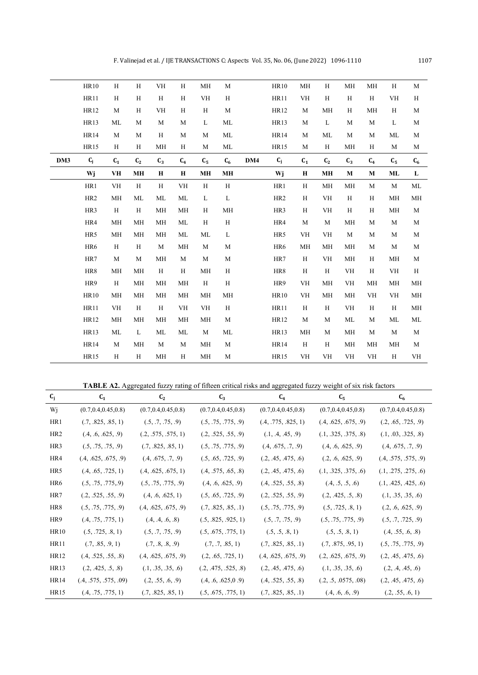|     | <b>HR10</b>     | H         | $\rm H$        | VH            | H            | MH           | M           |     | <b>HR10</b>             | MH          | H              | MH        | MH                     | H           | $\mathbf M$    |
|-----|-----------------|-----------|----------------|---------------|--------------|--------------|-------------|-----|-------------------------|-------------|----------------|-----------|------------------------|-------------|----------------|
|     | HR11            | H         | H              | H             | H            | <b>VH</b>    | H           |     | <b>HR11</b>             | <b>VH</b>   | H              | H         | H                      | <b>VH</b>   | H              |
|     | <b>HR12</b>     | M         | H              | <b>VH</b>     | H            | H            | M           |     | <b>HR12</b>             | M           | <b>MH</b>      | H         | MH                     | H           | M              |
|     | <b>HR13</b>     | ML        | M              | M             | $\mathbf M$  | L            | ML          |     | <b>HR13</b>             | M           | L              | M         | M                      | L           | $\mathbf M$    |
|     | <b>HR14</b>     | M         | M              | H             | M            | M            | ML          |     | <b>HR14</b>             | M           | ML             | M         | M                      | ML          | M              |
|     | <b>HR15</b>     | H         | H              | MH            | H            | M            | ML          |     | <b>HR15</b>             | M           | H              | MH        | H                      | M           | M              |
| DM3 | $C_j$           | $C_1$     | C <sub>2</sub> | $C_3$         | $C_4$        | $C_5$        | $C_6$       | DM4 | $\mathbf{C}_\mathrm{j}$ | $C_1$       | C <sub>2</sub> | $C_3$     | $C_4$                  | $C_5$       | $\mathbf{C}_6$ |
|     | Wj              | <b>VH</b> | <b>MH</b>      | $\mathbf H$   | $\mathbf H$  | <b>MH</b>    | MH          |     | Wj                      | $\mathbf H$ | MH             | M         | M                      | ML          | L              |
|     | HR1             | <b>VH</b> | H              | H             | <b>VH</b>    | $\, {\rm H}$ | $\mathbf H$ |     | HR1                     | H           | $\mathbf{MH}$  | MH        | M                      | $\mathbf M$ | ML             |
|     | HR <sub>2</sub> | MH        | ML             | ML            | ML           | L            | L           |     | HR <sub>2</sub>         | H           | VH             | H         | H                      | MH          | MH             |
|     | HR3             | H         | H              | $\mathbf{MH}$ | MH           | H            | MH          |     | HR3                     | $\rm H$     | <b>VH</b>      | H         | H                      | MH          | $\mathbf M$    |
|     | HR4             | <b>MH</b> | MH             | MH            | ML           | H            | $\rm H$     |     | HR4                     | M           | M              | MH        | M                      | M           | $\mathbf M$    |
|     | HR5             | MH        | MH             | MH            | ML           | $\rm ML$     | $\mathbf L$ |     | HR5                     | <b>VH</b>   | VH             | M         | $\mathbf M$            | M           | $\mathbf M$    |
|     | HR6             | H         | H              | $\mathbf M$   | MH           | $\mathbf M$  | M           |     | HR6                     | MH          | MH             | MH        | M                      | $\mathbf M$ | $\mathbf M$    |
|     | HR7             | M         | M              | MH            | $\mathbf M$  | $\mathbf M$  | $\mathbf M$ |     | HR7                     | H           | <b>VH</b>      | MH        | H                      | MH          | $\mathbf M$    |
|     | HR8             | MH        | MH             | $\, {\rm H}$  | $\, {\rm H}$ | MH           | H           |     | HR8                     | H           | H              | <b>VH</b> | H                      | <b>VH</b>   | H              |
|     | HR9             | H         | MH             | $\mathbf{MH}$ | MH           | H            | $\rm H$     |     | HR9                     | <b>VH</b>   | MH             | VH        | MH                     | MH          | $\mathbf{MH}$  |
|     | <b>HR10</b>     | <b>MH</b> | МH             | MH            | MH           | <b>MH</b>    | MH          |     | <b>HR10</b>             | <b>VH</b>   | MH             | MH        | VH                     | <b>VH</b>   | MH             |
|     | <b>HR11</b>     | <b>VH</b> | H              | H             | VH           | <b>VH</b>    | $\mathbf H$ |     | <b>HR11</b>             | H           | H              | <b>VH</b> | H                      | H           | MH             |
|     | HR12            | <b>MH</b> | МH             | MH            | МH           | MH           | M           |     | HR12                    | M           | M              | ML        | M                      | ML          | ML             |
|     | <b>HR13</b>     | ML        | L              | ML            | ML           | $\mathbf{M}$ | ML          |     | <b>HR13</b>             | MH          | M              | MH        | M                      | M           | M              |
|     | <b>HR14</b>     | M         | МH             | M             | M            | MH           | M           |     | <b>HR14</b>             | H           | H              | MH        | MH                     | MH          | M              |
|     | <b>HR15</b>     | H         | H              | MH            | H            | MH           | M           |     | <b>HR15</b>             | <b>VH</b>   | <b>VH</b>      | <b>VH</b> | $\mathbf{V}\mathbf{H}$ | H           | VH             |

**TABLE A2.** Aggregated fuzzy rating of fifteen critical risks and aggregated fuzzy weight of six risk factors

| $c_i$           | $C_{1}$                  | $C_{2}$                | $C_3$                  | $C_4$                  | $C_{5}$                  | $C_6$                    |
|-----------------|--------------------------|------------------------|------------------------|------------------------|--------------------------|--------------------------|
| Wi              | (0.7, 0.4, 0.45, 0.8)    | (0.7, 0.4, 0.45, 0.8)  | (0.7, 0.4, 0.45, 0.8)  | (0.7, 0.4, 0.45, 0.8)  | (0.7, 0.4, 0.45, 0.8)    | (0.7, 0.4, 0.45, 0.8)    |
| HR1             | (.7, .825, .85, 1)       | (.5, .7, .75, .9)      | (.5, .75, .775, .9)    | (.4, .775, .825, 1)    | (.4, .625, .675, .9)     | (.2, .65, .725, .9)      |
| HR <sub>2</sub> | (0.4, 0.6, 0.625, 0.9)   | (.2, .575, .575, 1)    | (.2, .525, .55, .9)    | (0.1, 0.4, 0.45, 0.9)  | (0.1, 0.325, 0.375, 0.8) | (.1, .03, .325, .8)      |
| HR <sub>3</sub> | (.5, .75, .75, .9)       | (.7, .825, .85, 1)     | (.5, .75, .775, .9)    | (0.4, 0.675, 0.7, 0.9) | (.4, .6, .625, .9)       | (0.4, 0.675, 0.7, 0.9)   |
| HR4             | (0.4, 0.625, 0.675, 0.9) | (0.4, 0.675, 0.7, 0.9) | (.5, .65, .725, .9)    | (.2, .45, .475, .6)    | (.2, .6, .625, .9)       | (0.4, .575, .575, .9)    |
| HR <sub>5</sub> | (0.4, 0.65, 0.725, 1)    | (.4, .625, .675, 1)    | (.4, .575, .65, .8)    | (.2, .45, .475, .6)    | (0.1, 0.325, 0.375, 0.6) | (0.1, 0.275, 0.275, 0.6) |
| HR <sub>6</sub> | (.5, .75, .775, .9)      | (.5, .75, .775, .9)    | (0.4, 0.6, 0.625, 0.9) | (.4, .525, .55, .8)    | (0.4, 0.5, 0.5, 0.6)     | (0.1, 0.425, 0.425, 0.6) |
| HR7             | (.2, .525, .55, .9)      | (0.4, 0.6, 0.625, 1)   | (.5, .65, .725, .9)    | (.2, .525, .55, .9)    | (.2, .425, .5, .8)       | (0.1, 0.35, 0.35, 0.6)   |
| HR <sub>8</sub> | (.5, .75, .775, .9)      | (.4, .625, .675, .9)   | (.7, .825, .85, .1)    | (.5, .75, .775, .9)    | (.5, .725, .8, 1)        | (.2, .6, .625, .9)       |
| HR9             | (0.4, 0.75, 0.775, 1)    | (0.4, 0.4, 0.6, 0.8)   | (.5, .825, .925, 1)    | (.5, .7, .75, .9)      | (.5, .75, .775, .9)      | (.5, .7, .725, .9)       |
| HR10            | (.5, .725, .8, 1)        | (.5, .7, .75, .9)      | (.5, .675, .775, 1)    | (.5, .5, .8, 1)        | (.5, .5, .8, 1)          | (0.4, 0.55, 0.6, 0.8)    |
| HR11            | (.7, .85, .9, 1)         | (.7, .8, .8, .9)       | (.7, .7, .85, 1)       | (.7, .825, .85, .1)    | (.7, .875, .95, 1)       | (.5, .75, .775, .9)      |
| HR12            | (.4, .525, .55, .8)      | (.4, .625, .675, .9)   | (.2, .65, .725, 1)     | (.4, .625, .675, .9)   | (.2, .625, .675, .9)     | (.2, .45, .475, .6)      |
| HR13            | (.2, .425, .5, .8)       | (0.1, 0.35, 0.35, 0.6) | (.2, .475, .525, .8)   | (.2, .45, .475, .6)    | (0.1, 0.35, 0.35, 0.6)   | (.2, .4, .45, .6)        |
| <b>HR14</b>     | (.4, .575, .575, .09)    | (.2, .55, .6, .9)      | (.4, .6, .625, 0.9)    | (.4, .525, .55, .8)    | (.2, .5, .0575, .08)     | (.2, .45, .475, .6)      |
| HR15            | (.4, .75, .775, 1)       | (.7, .825, .85, 1)     | (.5, .675, .775, 1)    | (.7, .825, .85, .1)    | (0.4, 0.6, 0.9)          | (.2, .55, .6, 1)         |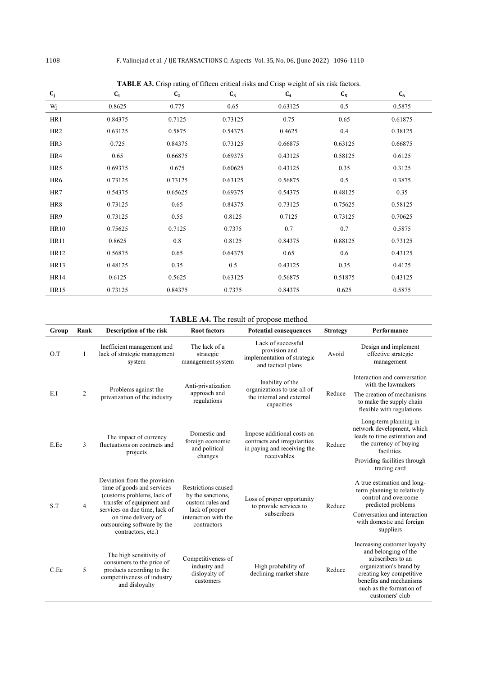| $\mathbf{C}_\mathbf{j}$ | $C_1$   | $\frac{1}{2}$<br>C <sub>2</sub> | $C_3$   | $\ldots$<br>$C_4$ | $C_5$   | $C_6$   |
|-------------------------|---------|---------------------------------|---------|-------------------|---------|---------|
| Wj                      | 0.8625  | 0.775                           | 0.65    | 0.63125           | 0.5     | 0.5875  |
| HR1                     | 0.84375 | 0.7125                          | 0.73125 | 0.75              | 0.65    | 0.61875 |
| HR <sub>2</sub>         | 0.63125 | 0.5875                          | 0.54375 | 0.4625            | 0.4     | 0.38125 |
| HR3                     | 0.725   | 0.84375                         | 0.73125 | 0.66875           | 0.63125 | 0.66875 |
| HR4                     | 0.65    | 0.66875                         | 0.69375 | 0.43125           | 0.58125 | 0.6125  |
| HR5                     | 0.69375 | 0.675                           | 0.60625 | 0.43125           | 0.35    | 0.3125  |
| HR6                     | 0.73125 | 0.73125                         | 0.63125 | 0.56875           | 0.5     | 0.3875  |
| HR7                     | 0.54375 | 0.65625                         | 0.69375 | 0.54375           | 0.48125 | 0.35    |
| HR8                     | 0.73125 | 0.65                            | 0.84375 | 0.73125           | 0.75625 | 0.58125 |
| HR9                     | 0.73125 | 0.55                            | 0.8125  | 0.7125            | 0.73125 | 0.70625 |
| <b>HR10</b>             | 0.75625 | 0.7125                          | 0.7375  | 0.7               | 0.7     | 0.5875  |
| <b>HR11</b>             | 0.8625  | $0.8\,$                         | 0.8125  | 0.84375           | 0.88125 | 0.73125 |
| HR12                    | 0.56875 | 0.65                            | 0.64375 | 0.65              | $0.6\,$ | 0.43125 |
| HR13                    | 0.48125 | 0.35                            | 0.5     | 0.43125           | 0.35    | 0.4125  |
| <b>HR14</b>             | 0.6125  | 0.5625                          | 0.63125 | 0.56875           | 0.51875 | 0.43125 |
| <b>HR15</b>             | 0.73125 | 0.84375                         | 0.7375  | 0.84375           | 0.625   | 0.5875  |

**TABLE A3.** Crisp rating of fifteen critical risks and Crisp weight of six risk factors.

## **TABLE A4.** The result of propose method

| Group | Rank           | Description of the risk                                                                                                                                                                                                            | <b>Root factors</b>                                                                                                   | <b>Potential consequences</b>                                                                            | <b>Strategy</b> | Performance                                                                                                                                                                                               |
|-------|----------------|------------------------------------------------------------------------------------------------------------------------------------------------------------------------------------------------------------------------------------|-----------------------------------------------------------------------------------------------------------------------|----------------------------------------------------------------------------------------------------------|-----------------|-----------------------------------------------------------------------------------------------------------------------------------------------------------------------------------------------------------|
| O.T   | $\mathbf{1}$   | Inefficient management and<br>lack of strategic management<br>system                                                                                                                                                               | The lack of a<br>strategic<br>management system                                                                       | Lack of successful<br>provision and<br>implementation of strategic<br>and tactical plans                 | Avoid           | Design and implement<br>effective strategic<br>management                                                                                                                                                 |
| E.I   | $\overline{2}$ | Problems against the<br>privatization of the industry                                                                                                                                                                              | Anti-privatization<br>approach and<br>regulations                                                                     | Inability of the<br>organizations to use all of<br>the internal and external<br>capacities               | Reduce          | Interaction and conversation<br>with the lawmakers<br>The creation of mechanisms<br>to make the supply chain<br>flexible with regulations                                                                 |
| E.Ec  | 3              | The impact of currency<br>fluctuations on contracts and<br>projects                                                                                                                                                                | Domestic and<br>foreign economic<br>and political<br>changes                                                          | Impose additional costs on<br>contracts and irregularities<br>in paying and receiving the<br>receivables | Reduce          | Long-term planning in<br>network development, which<br>leads to time estimation and<br>the currency of buying<br>facilities.<br>Providing facilities through<br>trading card                              |
| S.T   | $\overline{4}$ | Deviation from the provision<br>time of goods and services<br>(customs problems, lack of<br>transfer of equipment and<br>services on due time, lack of<br>on time delivery of<br>outsourcing software by the<br>contractors, etc.) | Restrictions caused<br>by the sanctions,<br>custom rules and<br>lack of proper<br>interaction with the<br>contractors | Loss of proper opportunity<br>to provide services to<br>subscribers                                      | Reduce          | A true estimation and long-<br>term planning to relatively<br>control and overcome<br>predicted problems<br>Conversation and interaction<br>with domestic and foreign<br>suppliers                        |
| C.Ec  | 5              | The high sensitivity of<br>consumers to the price of<br>products according to the<br>competitiveness of industry<br>and disloyalty                                                                                                 | Competitiveness of<br>industry and<br>disloyalty of<br>customers                                                      | High probability of<br>declining market share                                                            | Reduce          | Increasing customer loyalty<br>and belonging of the<br>subscribers to an<br>organization's brand by<br>creating key competitive<br>benefits and mechanisms<br>such as the formation of<br>customers' club |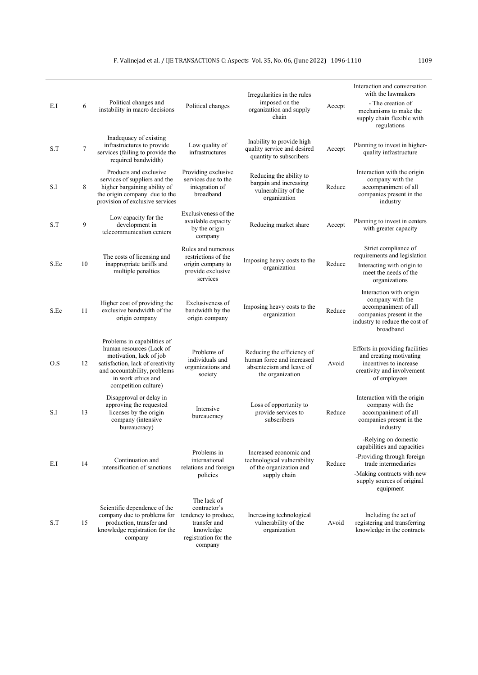| E.I  | 6      | Political changes and<br>instability in macro decisions                                                                                                                                              | Political changes                                                                                                   | Irregularities in the rules<br>imposed on the<br>organization and supply<br>chain                       | Accept | Interaction and conversation<br>with the lawmakers<br>- The creation of<br>mechanisms to make the<br>supply chain flexible with<br>regulations                                     |
|------|--------|------------------------------------------------------------------------------------------------------------------------------------------------------------------------------------------------------|---------------------------------------------------------------------------------------------------------------------|---------------------------------------------------------------------------------------------------------|--------|------------------------------------------------------------------------------------------------------------------------------------------------------------------------------------|
| S.T  | $\tau$ | Inadequacy of existing<br>infrastructures to provide<br>services (failing to provide the<br>required bandwidth)                                                                                      | Low quality of<br>infrastructures                                                                                   | Inability to provide high<br>quality service and desired<br>quantity to subscribers                     | Accept | Planning to invest in higher-<br>quality infrastructure                                                                                                                            |
| S.I  | 8      | Products and exclusive<br>services of suppliers and the<br>higher bargaining ability of<br>the origin company due to the<br>provision of exclusive services                                          | Providing exclusive<br>services due to the<br>integration of<br>broadband                                           | Reducing the ability to<br>bargain and increasing<br>vulnerability of the<br>organization               | Reduce | Interaction with the origin<br>company with the<br>accompaniment of all<br>companies present in the<br>industry                                                                    |
| S.T  | 9      | Low capacity for the<br>development in<br>telecommunication centers                                                                                                                                  | Exclusiveness of the<br>available capacity<br>by the origin<br>company                                              | Reducing market share                                                                                   | Accept | Planning to invest in centers<br>with greater capacity                                                                                                                             |
| S.Ec | 10     | The costs of licensing and<br>inappropriate tariffs and<br>multiple penalties                                                                                                                        | Rules and numerous<br>restrictions of the<br>origin company to<br>provide exclusive<br>services                     | Imposing heavy costs to the<br>organization                                                             | Reduce | Strict compliance of<br>requirements and legislation<br>Interacting with origin to<br>meet the needs of the<br>organizations                                                       |
| S.Ec | 11     | Higher cost of providing the<br>exclusive bandwidth of the<br>origin company                                                                                                                         | Exclusiveness of<br>bandwidth by the<br>origin company                                                              | Imposing heavy costs to the<br>organization                                                             | Reduce | Interaction with origin<br>company with the<br>accompaniment of all<br>companies present in the<br>industry to reduce the cost of<br>broadband                                     |
| O.S  | 12     | Problems in capabilities of<br>human resources (Lack of<br>motivation, lack of job<br>satisfaction, lack of creativity<br>and accountability, problems<br>in work ethics and<br>competition culture) | Problems of<br>individuals and<br>organizations and<br>society                                                      | Reducing the efficiency of<br>human force and increased<br>absenteeism and leave of<br>the organization | Avoid  | Efforts in providing facilities<br>and creating motivating<br>incentives to increase<br>creativity and involvement<br>of employees                                                 |
| S.I  | 13     | Disapproval or delay in<br>approving the requested<br>licenses by the origin<br>company (intensive<br>bureaucracy)                                                                                   | Intensive<br>bureaucracy                                                                                            | Loss of opportunity to<br>provide services to<br>subscribers                                            | Reduce | Interaction with the origin<br>company with the<br>accompaniment of all<br>companies present in the<br>industry                                                                    |
| E.I  | 14     | Continuation and<br>intensification of sanctions                                                                                                                                                     | Problems in<br>international<br>relations and foreign<br>policies                                                   | Increased economic and<br>technological vulnerability<br>of the organization and<br>supply chain        | Reduce | -Relying on domestic<br>capabilities and capacities<br>-Providing through foreign<br>trade intermediaries<br>-Making contracts with new<br>supply sources of original<br>equipment |
| S.T  | 15     | Scientific dependence of the<br>company due to problems for<br>production, transfer and<br>knowledge registration for the<br>company                                                                 | The lack of<br>contractor's<br>tendency to produce,<br>transfer and<br>knowledge<br>registration for the<br>company | Increasing technological<br>vulnerability of the<br>organization                                        | Avoid  | Including the act of<br>registering and transferring<br>knowledge in the contracts                                                                                                 |